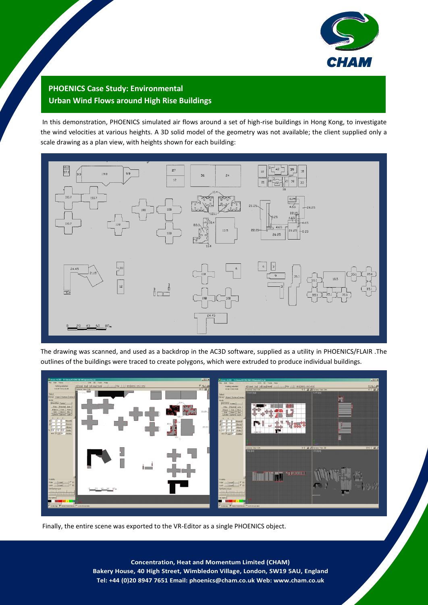

## **PHOENICS Case Study: Environmental Urban Wind Flows around High Rise Buildings**

In this demonstration, PHOENICS simulated air flows around a set of high-rise buildings in Hong Kong, to investigate the wind velocities at various heights. A 3D solid model of the geometry was not available; the client supplied only a scale drawing as a plan view, with heights shown for each building:



The drawing was scanned, and used as a backdrop in the AC3D software, supplied as a utility in PHOENICS/FLAIR .The outlines of the buildings were traced to create polygons, which were extruded to produce individual buildings.



Finally, the entire scene was exported to the VR-Editor as a single PHOENICS object.

1 **Bakery House, 40 High Street, Wimbledon Village, London, SW19 5AU, England Concentration, Heat and Momentum Limited (CHAM) Tel: +44 (0)20 8947 7651 Email: phoenics@cham.co.uk Web: www.cham.co.uk**